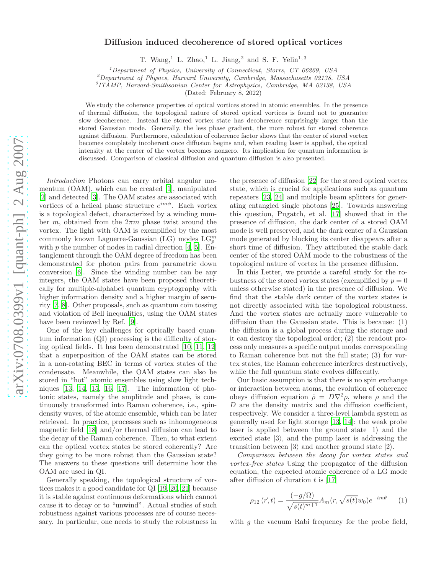## Diffusion induced decoherence of stored optical vortices

T. Wang,<sup>1</sup> L. Zhao,<sup>1</sup> L. Jiang,<sup>2</sup> and S. F. Yelin<sup>1,3</sup>

 $1$ Department of Physics, University of Connecticut, Storrs, CT 06269, USA

 $^{2}$ Department of Physics, Harvard University, Cambridge, Massachusetts 02138, USA

3 ITAMP, Harvard-Smithsonian Center for Astrophysics, Cambridge, MA 02138, USA

(Dated: February 8, 2022)

We study the coherence properties of optical vortices stored in atomic ensembles. In the presence of thermal diffusion, the topological nature of stored optical vortices is found not to guarantee slow decoherence. Instead the stored vortex state has decoherence surprisingly larger than the stored Gaussian mode. Generally, the less phase gradient, the more robust for stored coherence against diffusion. Furthermore, calculation of coherence factor shows that the center of stored vortex becomes completely incoherent once diffusion begins and, when reading laser is applied, the optical intensity at the center of the vortex becomes nonzero. Its implication for quantum information is discussed. Comparison of classical diffusion and quantum diffusion is also presented.

Introduction Photons can carry orbital angular momentum (OAM), which can be created [\[1\]](#page-3-0), manipulated [\[2\]](#page-3-1) and detected [\[3\]](#page-3-2). The OAM states are associated with vortices of a helical phase structure  $e^{im\phi}$ . Each vortex is a topological defect, characterized by a winding number m, obtained from the  $2\pi m$  phase twist around the vortex. The light with OAM is exemplified by the most commonly known Laguerre-Gaussian (LG) modes  $\mathcal{LG}_{p}^{m}$ with  $p$  the number of nodes in radial direction [\[4,](#page-3-3) [5\]](#page-3-4). Entanglement through the OAM degree of freedom has been demonstrated for photon pairs from parametric down conversion [\[6\]](#page-3-5). Since the winding number can be any integers, the OAM states have been proposed theoretically for multiple-alphabet quantum cryptography with higher information density and a higher margin of security [\[7,](#page-3-6) [8](#page-3-7)]. Other proposals, such as quantum coin tossing and violation of Bell inequalities, using the OAM states have been reviewed by Ref. [\[9](#page-3-8)].

One of the key challenges for optically based quantum information (QI) processing is the difficulty of storing optical fields. It has been demonstrated [\[10](#page-3-9), [11,](#page-3-10) [12](#page-3-11)] that a superposition of the OAM states can be stored in a non-rotating BEC in terms of vortex states of the condensate. Meanwhile, the OAM states can also be stored in "hot" atomic ensembles using slow light techniques [\[13](#page-3-12), [14,](#page-3-13) [15](#page-3-14), [16,](#page-3-15) [17\]](#page-3-16). The information of photonic states, namely the amplitude and phase, is continuously transformed into Raman coherence, i.e., spindensity waves, of the atomic ensemble, which can be later retrieved. In practice, processes such as inhomogeneous magnetic field [\[18\]](#page-3-17) and/or thermal diffusion can lead to the decay of the Raman coherence. Then, to what extent can the optical vortex states be stored coherently? Are they going to be more robust than the Gaussian state? The answers to these questions will determine how the OAM are used in QI.

Generally speaking, the topological structure of vortices makes it a good candidate for QI [\[19,](#page-3-18) [20](#page-4-0), [21\]](#page-4-1) because it is stable against continuous deformations which cannot cause it to decay or to "unwind". Actual studies of such robustness against various processes are of course necessary. In particular, one needs to study the robustness in

the presence of diffusion [\[22](#page-4-2)] for the stored optical vortex state, which is crucial for applications such as quantum repeaters [\[23,](#page-4-3) [24](#page-4-4)] and multiple beam splitters for generating entangled single photons [\[25\]](#page-4-5). Towards answering this question, Pugatch, et al. [\[17\]](#page-3-16) showed that in the presence of diffusion, the dark center of a stored OAM mode is well preserved, and the dark center of a Gaussian mode generated by blocking its center disappears after a short time of diffusion. They attributed the stable dark center of the stored OAM mode to the robustness of the topological nature of vortex in the presence diffusion.

In this Letter, we provide a careful study for the robustness of the stored vortex states (exemplified by  $p = 0$ ) unless otherwise stated) in the presence of diffusion. We find that the stable dark center of the vortex states is not directly associated with the topological robustness. And the vortex states are actually more vulnerable to diffusion than the Gaussian state. This is because: (1) the diffusion is a global process during the storage and it can destroy the topological order; (2) the readout process only measures a specific output modes corresponding to Raman coherence but not the full state; (3) for vortex states, the Raman coherence interferes destructively, while the full quantum state evolves differently.

Our basic assumption is that there is no spin exchange or interaction between atoms, the evolution of coherence obeys diffusion equation  $\dot{\rho} = D\nabla^2 \rho$ , where  $\rho$  and the D are the density matrix and the diffusion coefficient, respectively. We consider a three-level lambda system as generally used for light storage [\[13](#page-3-12), [14\]](#page-3-13): the weak probe laser is applied between the ground state  $|1\rangle$  and the excited state  $|3\rangle$ , and the pump laser is addressing the transition between  $|3\rangle$  and another ground state  $|2\rangle$ .

Comparison between the decay for vortex states and vortex-free states Using the propagator of the diffusion equation, the expected atomic coherence of a LG mode after diffusion of duration  $t$  is [\[17](#page-3-16)]

<span id="page-0-0"></span>
$$
\rho_{12}(\vec{r},t) = \frac{(-g/\Omega)}{\sqrt{s(t)^{m+1}}} A_m(r,\sqrt{s(t)}w_0) e^{-im\theta}
$$
 (1)

with  $g$  the vacuum Rabi frequency for the probe field,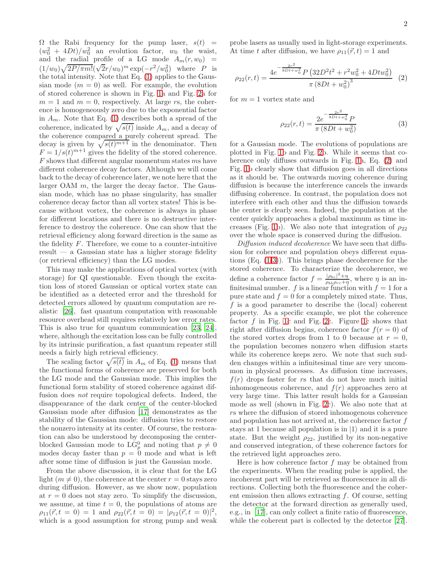$\Omega$  the Rabi frequency for the pump laser,  $s(t)$  =  $(w_0^2 + 4Dt)/w_0^2$  an evolution factor,  $w_0$  the waist, and the radial profile of a LG mode  $A_m(r, w_0)$  =  $(1/w_0)\sqrt{2P/\pi m!}(\sqrt{2}r/w_0)^m \exp(-r^2/w_0^2)$  where P is the total intensity. Note that Eq. [\(1\)](#page-0-0) applies to the Gaussian mode  $(m = 0)$  as well. For example, the evolution of stored coherence is shown in Fig. [1a](#page-2-0) and Fig. [2a](#page-2-1) for  $m = 1$  and  $m = 0$ , respectively. At large rs, the coherence is homogeneously zero due to the exponential factor in  $A_m$ . Note that Eq. [\(1\)](#page-0-0) describes both a spread of the coherence, indicated by  $\sqrt{s(t)}$  inside  $A_m$ , and a decay of the coherence compared a purely coherent spread. The decay is given by  $\sqrt{s(t)^{m+1}}$  in the denominator. Then  $F = 1/s(t)^{m+1}$  gives the fidelity of the stored coherence. F shows that different angular momentum states ms have different coherence decay factors. Although we will come back to the decay of coherence later, we note here that the larger OAM  $m$ , the larger the decay factor. The Gaussian mode, which has no phase singularity, has smaller coherence decay factor than all vortex states! This is because without vortex, the coherence is always in phase for different locations and there is no destructive interference to destroy the coherence. One can show that the retrieval efficiency along forward direction is the same as the fidelity  $F$ . Therefore, we come to a counter-intuitive result — a Gaussian state has a higher storage fidelity (or retrieval efficiency) than the LG modes.

This may make the applications of optical vortex (with storage) for QI questionable. Even though the excitation loss of stored Gaussian or optical vortex state can be identified as a detected error and the threshold for detected errors allowed by quantum computation are realistic [\[26\]](#page-4-6), fast quantum computation with reasonable resource overhead still requires relatively low error rates. This is also true for quantum communication [\[23,](#page-4-3) [24\]](#page-4-4), where, although the excitation loss can be fully controlled by its intrinsic purification, a fast quantum repeater still needs a fairly high retrieval efficiency.

The scaling factor  $\sqrt{s(t)}$  in  $A_m$  of Eq. [\(1\)](#page-0-0) means that the functional forms of coherence are preserved for both the LG mode and the Gaussian mode. This implies the functional form stability of stored coherence against diffusion does not require topological defects. Indeed, the disappearance of the dark center of the center-blocked Gaussian mode after diffusion [\[17\]](#page-3-16) demonstrates as the stability of the Gaussian mode: diffusion tries to restore the nonzero intensity at its center. Of course, the restoration can also be understood by decomposing the centerblocked Gaussian mode to  $LG_p^0$  and noting that  $p \neq 0$ modes decay faster than  $p = 0$  mode and what is left after some time of diffusion is just the Gaussian mode.

From the above discussion, it is clear that for the LG light  $(m \neq 0)$ , the coherence at the center  $r = 0$  stays zero during diffusion. However, as we show now, population at  $r = 0$  does not stay zero. To simplify the discussion, we assume, at time  $t = 0$ , the populations of atoms are  $\rho_{11}(\vec{r}, t = 0) = 1$  and  $\rho_{22}(\vec{r}, t = 0) = |\rho_{12}(\vec{r}, t = 0)|^2$ , which is a good assumption for strong pump and weak

probe lasers as usually used in light-storage experiments. At time t after diffusion, we have  $\rho_{11}(\vec{r}, t) = 1$  and

<span id="page-1-0"></span>
$$
\rho_{22}(r,t) = \frac{4e^{-\frac{2r^2}{8Dt+w_0^2}}P\left(32D^2t^2 + r^2w_0^2 + 4Dtw_0^2\right)}{\pi\left(8Dt + w_0^2\right)^3} \tag{2}
$$

for  $m = 1$  vortex state and

<span id="page-1-1"></span>
$$
\rho_{22}(r,t) = \frac{2e^{-\frac{2r^2}{8Dt+w_0^2}}P}{\pi (8Dt + w_0^2)}
$$
\n(3)

for a Gaussian mode. The evolutions of populations are plotted in Fig. [1b](#page-2-0) and Fig. [2b](#page-2-1). While it seems that coherence only diffuses outwards in Fig. [1a](#page-2-0), Eq. [\(2\)](#page-1-0) and Fig. [1b](#page-2-0) clearly show that diffusion goes in all directions as it should be. The outwards moving coherence during diffusion is because the interference cancels the inwards diffusing coherence. In contrast, the population does not interfere with each other and thus the diffusion towards the center is clearly seen. Indeed, the population at the center quickly approaches a global maximum as time in-creases (Fig. [1b](#page-2-0)). We also note that integration of  $\rho_{22}$ over the whole space is conserved during the diffusion.

Diffusion induced decoherence We have seen that diffusion for coherence and population obeys different equations (Eq. [\(1-](#page-0-0)[3\)](#page-1-1)). This brings phase decoherence for the stored coherence. To characterize the decoherence, we define a coherence factor  $f = \frac{|\rho_{bc}|^2 + \eta}{\gamma_{ab} + \eta}$  $\frac{|\rho_{bc}|+ \eta}{\rho_{bb}\rho_{cc}+\eta}$ , where  $\eta$  is an infinitesimal number.  $f$  is a linear function with  $f = 1$  for a pure state and  $f = 0$  for a completely mixed state. Thus, f is a good parameter to describe the (local) coherent property. As a specific example, we plot the coherence factor  $f$  in Fig. [1c](#page-2-0) and Fig. [2c](#page-2-1). Figure 1c shows that right after diffusion begins, coherence factor  $f(r = 0)$  of the stored vortex drops from 1 to 0 because at  $r = 0$ , the population becomes nonzero when diffusion starts while its coherence keeps zero. We note that such sudden changes within a infinitesimal time are very uncommon in physical processes. As diffusion time increases,  $f(r)$  drops faster for rs that do not have much initial inhomogeneous coherence, and  $f(r)$  approaches zero at very large time. This latter result holds for a Gaussian mode as well (shown in Fig. [2c](#page-2-1)). We also note that at rs where the diffusion of stored inhomogenous coherence and population has not arrived at, the coherence factor  $f$ stays at 1 because all population is in  $|1\rangle$  and it is a pure state. But the weight  $\rho_{22}$ , justified by its non-negative and conserved integration, of these coherence factors for the retrieved light approaches zero.

Here is how coherence factor  $f$  may be obtained from the experiments. When the reading pulse is applied, the incoherent part will be retrieved as fluorescence in all directions. Collecting both the fluorescence and the coherent emission then allows extracting f. Of course, setting the detector at the forward direction as generally used, e.g., in [\[17\]](#page-3-16), can only collect a finite ratio of fluorescence, while the coherent part is collected by the detector [\[27\]](#page-4-7).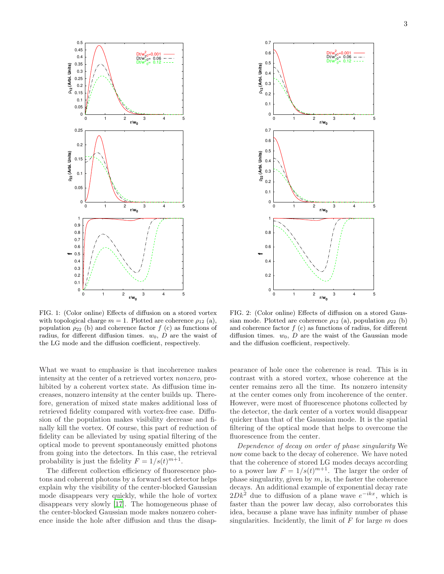



<span id="page-2-0"></span>FIG. 1: (Color online) Effects of diffusion on a stored vortex with topological charge  $m = 1$ . Plotted are coherence  $\rho_{12}$  (a), population  $\rho_{22}$  (b) and coherence factor f (c) as functions of radius, for different diffusion times.  $w_0$ , D are the waist of the LG mode and the diffusion coefficient, respectively.

What we want to emphasize is that incoherence makes intensity at the center of a retrieved vortex nonzero, prohibited by a coherent vortex state. As diffusion time increases, nonzero intensity at the center builds up. Therefore, generation of mixed state makes additional loss of retrieved fidelity compared with vortex-free case. Diffusion of the population makes visibility decrease and finally kill the vortex. Of course, this part of reduction of fidelity can be alleviated by using spatial filtering of the optical mode to prevent spontaneously emitted photons from going into the detectors. In this case, the retrieval probability is just the fidelity  $F = 1/s(t)^{m+1}$ .

The different collection efficiency of fluorescence photons and coherent photons by a forward set detector helps explain why the visibility of the center-blocked Gaussian mode disappears very quickly, while the hole of vortex disappears very slowly [\[17](#page-3-16)]. The homogeneous phase of the center-blocked Gaussian mode makes nonzero coherence inside the hole after diffusion and thus the disap-

<span id="page-2-1"></span>FIG. 2: (Color online) Effects of diffusion on a stored Gaussian mode. Plotted are coherence  $\rho_{12}$  (a), population  $\rho_{22}$  (b) and coherence factor  $f(c)$  as functions of radius, for different diffusion times.  $w_0$ , D are the waist of the Gaussian mode and the diffusion coefficient, respectively.

pearance of hole once the coherence is read. This is in contrast with a stored vortex, whose coherence at the center remains zero all the time. Its nonzero intensity at the center comes only from incoherence of the center. However, were most of fluorescence photons collected by the detector, the dark center of a vortex would disappear quicker than that of the Gaussian mode. It is the spatial filtering of the optical mode that helps to overcome the fluorescence from the center.

Dependence of decay on order of phase singularity We now come back to the decay of coherence. We have noted that the coherence of stored LG modes decays according to a power law  $F = 1/s(t)^{m+1}$ . The larger the order of phase singularity, given by  $m$ , is, the faster the coherence decays. An additional example of exponential decay rate  $2Dk^2$  due to diffusion of a plane wave  $e^{-ikx}$ , which is faster than the power law decay, also corroborates this idea, because a plane wave has infinity number of phase singularities. Incidently, the limit of  $F$  for large  $m$  does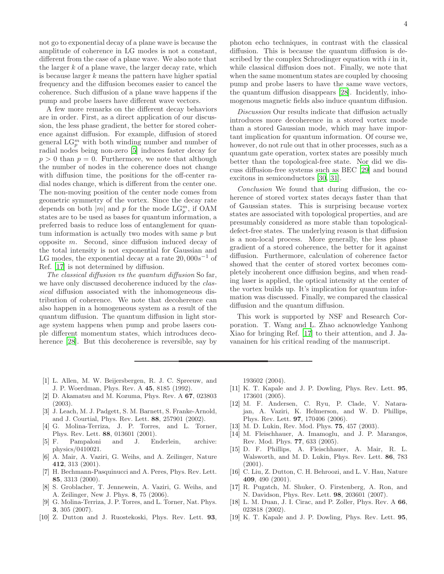not go to exponential decay of a plane wave is because the amplitude of coherence in LG modes is not a constant, different from the case of a plane wave. We also note that the larger  $k$  of a plane wave, the larger decay rate, which is because larger  $k$  means the pattern have higher spatial frequency and the diffusion becomes easier to cancel the coherence. Such diffusion of a plane wave happens if the pump and probe lasers have different wave vectors.

A few more remarks on the different decay behaviors are in order. First, as a direct application of our discussion, the less phase gradient, the better for stored coherence against diffusion. For example, diffusion of stored general  $LG_p^m$  with both winding number and number of radial nodes being non-zero [\[5\]](#page-3-4) induces faster decay for  $p > 0$  than  $p = 0$ . Furthermore, we note that although the number of nodes in the coherence does not change with diffusion time, the positions for the off-center radial nodes change, which is different from the center one. The non-moving position of the center node comes from geometric symmetry of the vortex. Since the decay rate depends on both  $|m|$  and p for the mode  $\mathcal{L}G_p^m$ , if OAM states are to be used as bases for quantum information, a preferred basis to reduce loss of entanglement for quantum information is actually two modes with same  $p$  but opposite m. Second, since diffusion induced decay of the total intensity is not exponential for Gaussian and LG modes, the exponential decay at a rate  $20,000s^{-1}$  of Ref. [\[17\]](#page-3-16) is not determined by diffusion.

The classical diffusion vs the quantum diffusion So far, we have only discussed decoherence induced by the *clas*sical diffusion associated with the inhomogeneous distribution of coherence. We note that decoherence can also happen in a homogeneous system as a result of the quantum diffusion. The quantum diffusion in light storage system happens when pump and probe lasers couple different momentum states, which introduces decoherence [\[28\]](#page-4-8). But this decoherence is reversible, say by

Discussion Our results indicate that diffusion actually introduces more decoherence in a stored vortex mode than a stored Gaussian mode, which may have important implication for quantum information. Of course we, however, do not rule out that in other processes, such as a quantum gate operation, vortex states are possibly much better than the topological-free state. Nor did we discuss diffusion-free systems such as BEC [\[29\]](#page-4-9) and bound excitons in semiconductors [\[30,](#page-4-10) [31\]](#page-4-11).

Conclusion We found that during diffusion, the coherence of stored vortex states decays faster than that of Gaussian states. This is surprising because vortex states are associated with topological properties, and are presumably considered as more stable than topologicaldefect-free states. The underlying reason is that diffusion is a non-local process. More generally, the less phase gradient of a stored coherence, the better for it against diffusion. Furthermore, calculation of coherence factor showed that the center of stored vortex becomes completely incoherent once diffusion begins, and when reading laser is applied, the optical intensity at the center of the vortex builds up. It's implication for quantum information was discussed. Finally, we compared the classical diffusion and the quantum diffusion.

This work is supported by NSF and Research Corporation. T. Wang and L. Zhao acknowledge Yanhong Xiao for bringing Ref. [\[17](#page-3-16)] to their attention, and J. Javanainen for his critical reading of the manuscript.

- <span id="page-3-0"></span>[1] L. Allen, M. W. Beijersbergen, R. J. C. Spreeuw, and J. P. Woerdman, Phys. Rev. A 45, 8185 (1992).
- <span id="page-3-1"></span>[2] D. Akamatsu and M. Kozuma, Phys. Rev. A 67, 023803 (2003).
- <span id="page-3-2"></span>[3] J. Leach, M. J. Padgett, S. M. Barnett, S. Franke-Arnold, and J. Courtial, Phys. Rev. Lett. 88, 257901 (2002).
- <span id="page-3-3"></span>[4] G. Molina-Terriza, J. P. Torres, and L. Torner, Phys. Rev. Lett. 88, 013601 (2001).
- <span id="page-3-4"></span>[5] F. Pampaloni and J. Enderlein, archive: physics/0410021.
- <span id="page-3-5"></span>[6] A. Mair, A. Vaziri, G. Weihs, and A. Zeilinger, Nature 412, 313 (2001).
- <span id="page-3-6"></span>[7] H. Bechmann-Pasquinucci and A. Peres, Phys. Rev. Lett. 85, 3313 (2000).
- <span id="page-3-7"></span>[8] S. Groblacher, T. Jennewein, A. Vaziri, G. Weihs, and A. Zeilinger, New J. Phys. 8, 75 (2006).
- <span id="page-3-8"></span>[9] G. Molina-Terriza, J. P. Torres, and L. Torner, Nat. Phys. 3, 305 (2007).
- <span id="page-3-9"></span>[10] Z. Dutton and J. Ruostekoski, Phys. Rev. Lett. 93,

193602 (2004).

- <span id="page-3-10"></span>[11] K. T. Kapale and J. P. Dowling, Phys. Rev. Lett. 95, 173601 (2005).
- <span id="page-3-11"></span>[12] M. F. Andersen, C. Ryu, P. Clade, V. Natarajan, A. Vaziri, K. Helmerson, and W. D. Phillips, Phys. Rev. Lett. 97, 170406 (2006).
- <span id="page-3-12"></span>[13] M. D. Lukin, Rev. Mod. Phys. 75, 457 (2003).
- <span id="page-3-13"></span>[14] M. Fleischhauer, A. Imamoglu, and J. P. Marangos, Rev. Mod. Phys. 77, 633 (2005).
- <span id="page-3-14"></span>[15] D. F. Phillips, A. Fleischhauer, A. Mair, R. L. Walsworth, and M. D. Lukin, Phys. Rev. Lett. 86, 783  $(2001).$
- <span id="page-3-15"></span>[16] C. Liu, Z. Dutton, C. H. Behroozi, and L. V. Hau, Nature 409, 490 (2001).
- <span id="page-3-16"></span>[17] R. Pugatch, M. Shuker, O. Firstenberg, A. Ron, and N. Davidson, Phys. Rev. Lett. 98, 203601 (2007).
- <span id="page-3-17"></span>[18] L. M. Duan, J. I. Cirac, and P. Zoller, Phys. Rev. A 66, 023818 (2002).
- <span id="page-3-18"></span>[19] K. T. Kapale and J. P. Dowling, Phys. Rev. Lett. 95,